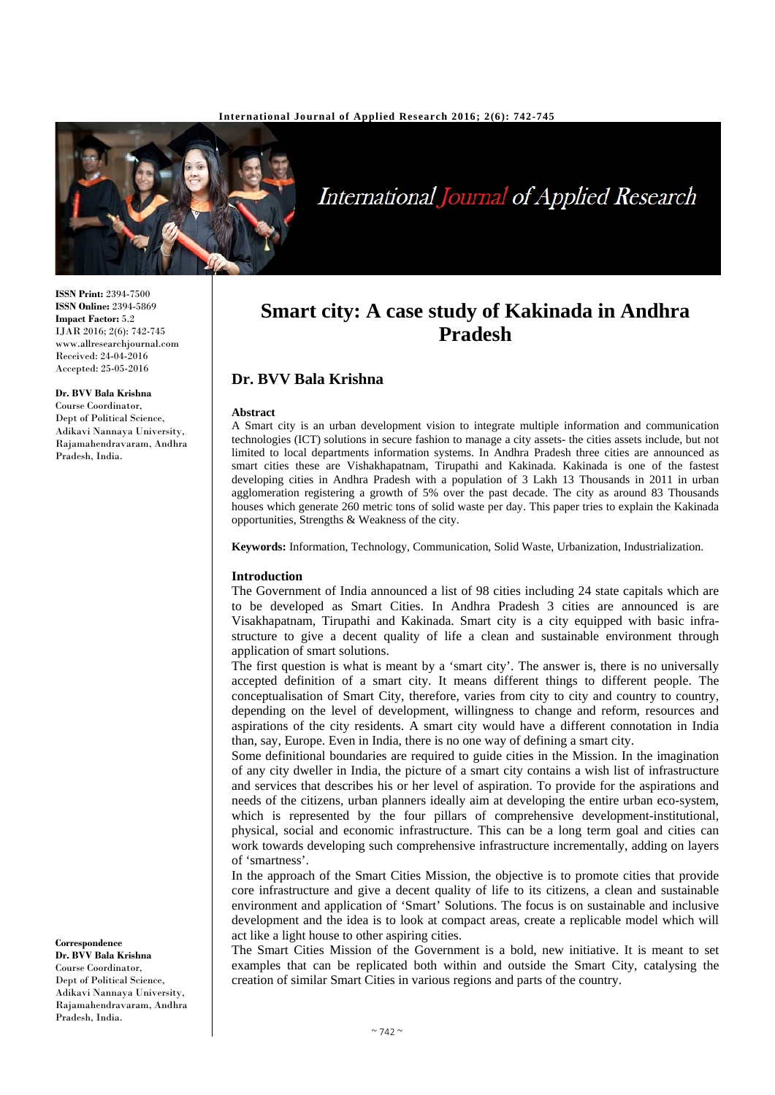

**International Journal of Applied Research** 

**ISSN Print:** 2394-7500 **ISSN Online:** 2394-5869 **Impact Factor:** 5.2 IJAR 2016; 2(6): 742-745 www.allresearchjournal.com Received: 24-04-2016 Accepted: 25-05-2016

#### **Dr. BVV Bala Krishna**

Adikavi Nannaya University, Rajamahendravaram, Andhra Pradesh, India.

Course Coordinator, Dept of Political Science,

**Correspondence Dr. BVV Bala Krishna** Course Coordinator, Dept of Political Science. Adikavi Nannaya University, Rajamahendravaram, Andhra Pradesh, India.

# **Smart city: A case study of Kakinada in Andhra Pradesh**

## **Dr. BVV Bala Krishna**

#### **Abstract**

A Smart city is an urban development vision to integrate multiple information and communication technologies (ICT) solutions in secure fashion to manage a city assets- the cities assets include, but not limited to local departments information systems. In Andhra Pradesh three cities are announced as smart cities these are Vishakhapatnam, Tirupathi and Kakinada. Kakinada is one of the fastest developing cities in Andhra Pradesh with a population of 3 Lakh 13 Thousands in 2011 in urban agglomeration registering a growth of 5% over the past decade. The city as around 83 Thousands houses which generate 260 metric tons of solid waste per day. This paper tries to explain the Kakinada opportunities, Strengths & Weakness of the city.

**Keywords:** Information, Technology, Communication, Solid Waste, Urbanization, Industrialization.

#### **Introduction**

The Government of India announced a list of 98 cities including 24 state capitals which are to be developed as Smart Cities. In Andhra Pradesh 3 cities are announced is are Visakhapatnam, Tirupathi and Kakinada. Smart city is a city equipped with basic infrastructure to give a decent quality of life a clean and sustainable environment through application of smart solutions.

The first question is what is meant by a 'smart city'. The answer is, there is no universally accepted definition of a smart city. It means different things to different people. The conceptualisation of Smart City, therefore, varies from city to city and country to country, depending on the level of development, willingness to change and reform, resources and aspirations of the city residents. A smart city would have a different connotation in India than, say, Europe. Even in India, there is no one way of defining a smart city.

Some definitional boundaries are required to guide cities in the Mission. In the imagination of any city dweller in India, the picture of a smart city contains a wish list of infrastructure and services that describes his or her level of aspiration. To provide for the aspirations and needs of the citizens, urban planners ideally aim at developing the entire urban eco-system, which is represented by the four pillars of comprehensive development-institutional, physical, social and economic infrastructure. This can be a long term goal and cities can work towards developing such comprehensive infrastructure incrementally, adding on layers of 'smartness'.

In the approach of the Smart Cities Mission, the objective is to promote cities that provide core infrastructure and give a decent quality of life to its citizens, a clean and sustainable environment and application of 'Smart' Solutions. The focus is on sustainable and inclusive development and the idea is to look at compact areas, create a replicable model which will act like a light house to other aspiring cities.

The Smart Cities Mission of the Government is a bold, new initiative. It is meant to set examples that can be replicated both within and outside the Smart City, catalysing the creation of similar Smart Cities in various regions and parts of the country.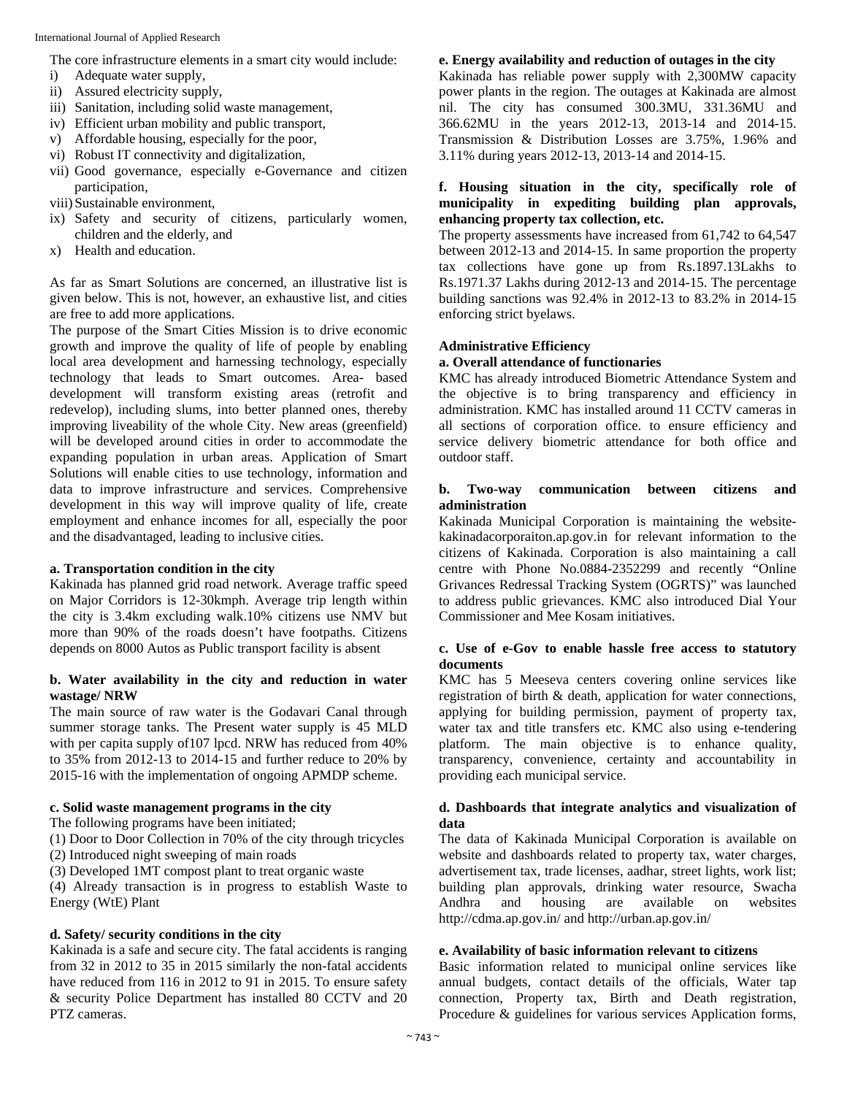The core infrastructure elements in a smart city would include:

- i) Adequate water supply,
- ii) Assured electricity supply,
- iii) Sanitation, including solid waste management,
- iv) Efficient urban mobility and public transport,
- v) Affordable housing, especially for the poor,
- vi) Robust IT connectivity and digitalization,
- vii) Good governance, especially e-Governance and citizen participation,
- viii)Sustainable environment,
- ix) Safety and security of citizens, particularly women, children and the elderly, and
- x) Health and education.

As far as Smart Solutions are concerned, an illustrative list is given below. This is not, however, an exhaustive list, and cities are free to add more applications.

The purpose of the Smart Cities Mission is to drive economic growth and improve the quality of life of people by enabling local area development and harnessing technology, especially technology that leads to Smart outcomes. Area- based development will transform existing areas (retrofit and redevelop), including slums, into better planned ones, thereby improving liveability of the whole City. New areas (greenfield) will be developed around cities in order to accommodate the expanding population in urban areas. Application of Smart Solutions will enable cities to use technology, information and data to improve infrastructure and services. Comprehensive development in this way will improve quality of life, create employment and enhance incomes for all, especially the poor and the disadvantaged, leading to inclusive cities.

#### **a. Transportation condition in the city**

Kakinada has planned grid road network. Average traffic speed on Major Corridors is 12-30kmph. Average trip length within the city is 3.4km excluding walk.10% citizens use NMV but more than 90% of the roads doesn't have footpaths. Citizens depends on 8000 Autos as Public transport facility is absent

#### **b. Water availability in the city and reduction in water wastage/ NRW**

The main source of raw water is the Godavari Canal through summer storage tanks. The Present water supply is 45 MLD with per capita supply of107 lpcd. NRW has reduced from 40% to 35% from 2012-13 to 2014-15 and further reduce to 20% by 2015-16 with the implementation of ongoing APMDP scheme.

#### **c. Solid waste management programs in the city**

The following programs have been initiated;

(1) Door to Door Collection in 70% of the city through tricycles

(2) Introduced night sweeping of main roads

(3) Developed 1MT compost plant to treat organic waste

(4) Already transaction is in progress to establish Waste to Energy (WtE) Plant

#### **d. Safety/ security conditions in the city**

Kakinada is a safe and secure city. The fatal accidents is ranging from 32 in 2012 to 35 in 2015 similarly the non-fatal accidents have reduced from 116 in 2012 to 91 in 2015. To ensure safety & security Police Department has installed 80 CCTV and 20 PTZ cameras.

#### **e. Energy availability and reduction of outages in the city**

Kakinada has reliable power supply with 2,300MW capacity power plants in the region. The outages at Kakinada are almost nil. The city has consumed 300.3MU, 331.36MU and 366.62MU in the years 2012-13, 2013-14 and 2014-15. Transmission & Distribution Losses are 3.75%, 1.96% and 3.11% during years 2012-13, 2013-14 and 2014-15.

### **f. Housing situation in the city, specifically role of municipality in expediting building plan approvals, enhancing property tax collection, etc.**

The property assessments have increased from 61,742 to 64,547 between 2012-13 and 2014-15. In same proportion the property tax collections have gone up from Rs.1897.13Lakhs to Rs.1971.37 Lakhs during 2012-13 and 2014-15. The percentage building sanctions was 92.4% in 2012-13 to 83.2% in 2014-15 enforcing strict byelaws.

#### **Administrative Efficiency**

#### **a. Overall attendance of functionaries**

KMC has already introduced Biometric Attendance System and the objective is to bring transparency and efficiency in administration. KMC has installed around 11 CCTV cameras in all sections of corporation office. to ensure efficiency and service delivery biometric attendance for both office and outdoor staff.

#### **b. Two-way communication between citizens and administration**

Kakinada Municipal Corporation is maintaining the websitekakinadacorporaiton.ap.gov.in for relevant information to the citizens of Kakinada. Corporation is also maintaining a call centre with Phone No.0884-2352299 and recently "Online Grivances Redressal Tracking System (OGRTS)" was launched to address public grievances. KMC also introduced Dial Your Commissioner and Mee Kosam initiatives.

#### **c. Use of e-Gov to enable hassle free access to statutory documents**

KMC has 5 Meeseva centers covering online services like registration of birth & death, application for water connections, applying for building permission, payment of property tax, water tax and title transfers etc. KMC also using e-tendering platform. The main objective is to enhance quality, transparency, convenience, certainty and accountability in providing each municipal service.

#### **d. Dashboards that integrate analytics and visualization of data**

The data of Kakinada Municipal Corporation is available on website and dashboards related to property tax, water charges, advertisement tax, trade licenses, aadhar, street lights, work list; building plan approvals, drinking water resource, Swacha Andhra and housing are available on websites http://cdma.ap.gov.in/ and http://urban.ap.gov.in/

#### **e. Availability of basic information relevant to citizens**

Basic information related to municipal online services like annual budgets, contact details of the officials, Water tap connection, Property tax, Birth and Death registration, Procedure & guidelines for various services Application forms,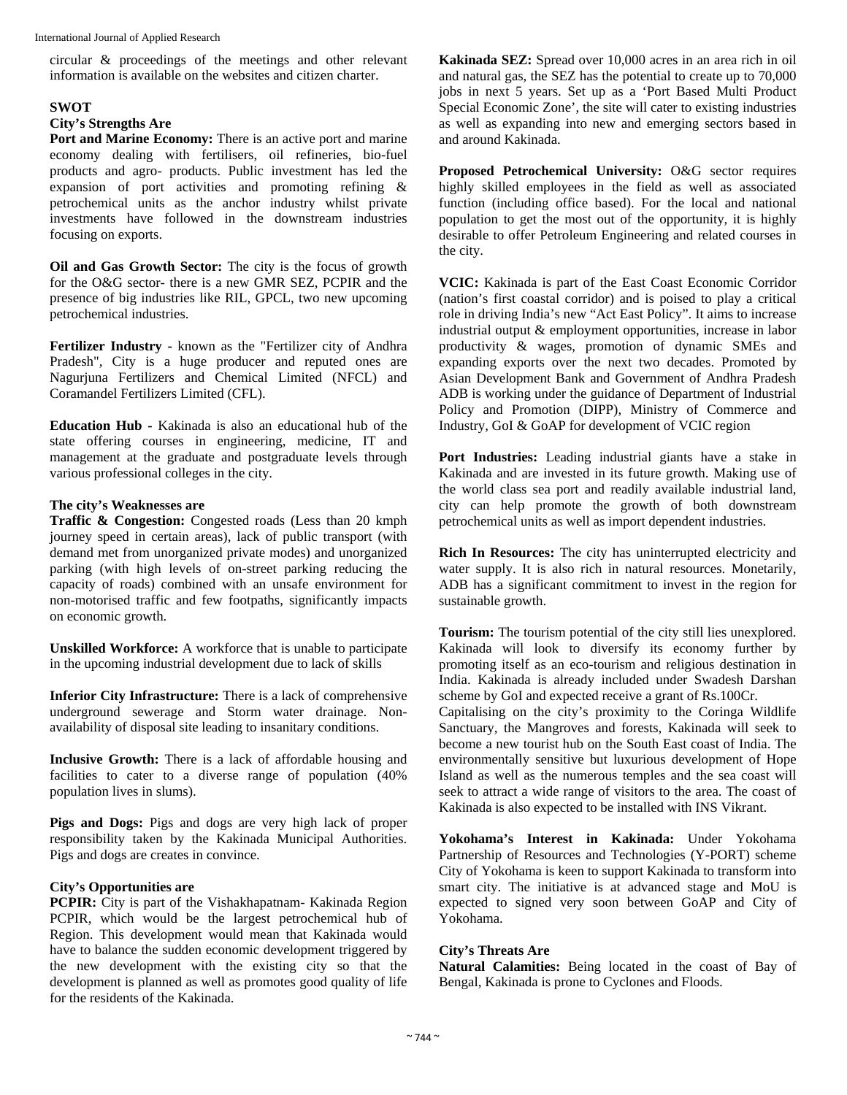circular & proceedings of the meetings and other relevant information is available on the websites and citizen charter.

#### **SWOT**

#### **City's Strengths Are**

**Port and Marine Economy:** There is an active port and marine economy dealing with fertilisers, oil refineries, bio-fuel products and agro- products. Public investment has led the expansion of port activities and promoting refining & petrochemical units as the anchor industry whilst private investments have followed in the downstream industries focusing on exports.

**Oil and Gas Growth Sector:** The city is the focus of growth for the O&G sector- there is a new GMR SEZ, PCPIR and the presence of big industries like RIL, GPCL, two new upcoming petrochemical industries.

**Fertilizer Industry -** known as the "Fertilizer city of Andhra Pradesh", City is a huge producer and reputed ones are Nagurjuna Fertilizers and Chemical Limited (NFCL) and Coramandel Fertilizers Limited (CFL).

**Education Hub -** Kakinada is also an educational hub of the state offering courses in engineering, medicine, IT and management at the graduate and postgraduate levels through various professional colleges in the city.

#### **The city's Weaknesses are**

**Traffic & Congestion:** Congested roads (Less than 20 kmph journey speed in certain areas), lack of public transport (with demand met from unorganized private modes) and unorganized parking (with high levels of on-street parking reducing the capacity of roads) combined with an unsafe environment for non-motorised traffic and few footpaths, significantly impacts on economic growth.

**Unskilled Workforce:** A workforce that is unable to participate in the upcoming industrial development due to lack of skills

**Inferior City Infrastructure:** There is a lack of comprehensive underground sewerage and Storm water drainage. Nonavailability of disposal site leading to insanitary conditions.

**Inclusive Growth:** There is a lack of affordable housing and facilities to cater to a diverse range of population (40% population lives in slums).

**Pigs and Dogs:** Pigs and dogs are very high lack of proper responsibility taken by the Kakinada Municipal Authorities. Pigs and dogs are creates in convince.

#### **City's Opportunities are**

**PCPIR:** City is part of the Vishakhapatnam- Kakinada Region PCPIR, which would be the largest petrochemical hub of Region. This development would mean that Kakinada would have to balance the sudden economic development triggered by the new development with the existing city so that the development is planned as well as promotes good quality of life for the residents of the Kakinada.

**Kakinada SEZ:** Spread over 10,000 acres in an area rich in oil and natural gas, the SEZ has the potential to create up to 70,000 jobs in next 5 years. Set up as a 'Port Based Multi Product Special Economic Zone', the site will cater to existing industries as well as expanding into new and emerging sectors based in and around Kakinada.

**Proposed Petrochemical University:** O&G sector requires highly skilled employees in the field as well as associated function (including office based). For the local and national population to get the most out of the opportunity, it is highly desirable to offer Petroleum Engineering and related courses in the city.

**VCIC:** Kakinada is part of the East Coast Economic Corridor (nation's first coastal corridor) and is poised to play a critical role in driving India's new "Act East Policy". It aims to increase industrial output & employment opportunities, increase in labor productivity & wages, promotion of dynamic SMEs and expanding exports over the next two decades. Promoted by Asian Development Bank and Government of Andhra Pradesh ADB is working under the guidance of Department of Industrial Policy and Promotion (DIPP), Ministry of Commerce and Industry, GoI & GoAP for development of VCIC region

**Port Industries:** Leading industrial giants have a stake in Kakinada and are invested in its future growth. Making use of the world class sea port and readily available industrial land, city can help promote the growth of both downstream petrochemical units as well as import dependent industries.

**Rich In Resources:** The city has uninterrupted electricity and water supply. It is also rich in natural resources. Monetarily, ADB has a significant commitment to invest in the region for sustainable growth.

**Tourism:** The tourism potential of the city still lies unexplored. Kakinada will look to diversify its economy further by promoting itself as an eco-tourism and religious destination in India. Kakinada is already included under Swadesh Darshan scheme by GoI and expected receive a grant of Rs.100Cr.

Capitalising on the city's proximity to the Coringa Wildlife Sanctuary, the Mangroves and forests, Kakinada will seek to become a new tourist hub on the South East coast of India. The environmentally sensitive but luxurious development of Hope Island as well as the numerous temples and the sea coast will seek to attract a wide range of visitors to the area. The coast of Kakinada is also expected to be installed with INS Vikrant.

**Yokohama's Interest in Kakinada:** Under Yokohama Partnership of Resources and Technologies (Y-PORT) scheme City of Yokohama is keen to support Kakinada to transform into smart city. The initiative is at advanced stage and MoU is expected to signed very soon between GoAP and City of Yokohama.

#### **City's Threats Are**

**Natural Calamities:** Being located in the coast of Bay of Bengal, Kakinada is prone to Cyclones and Floods.